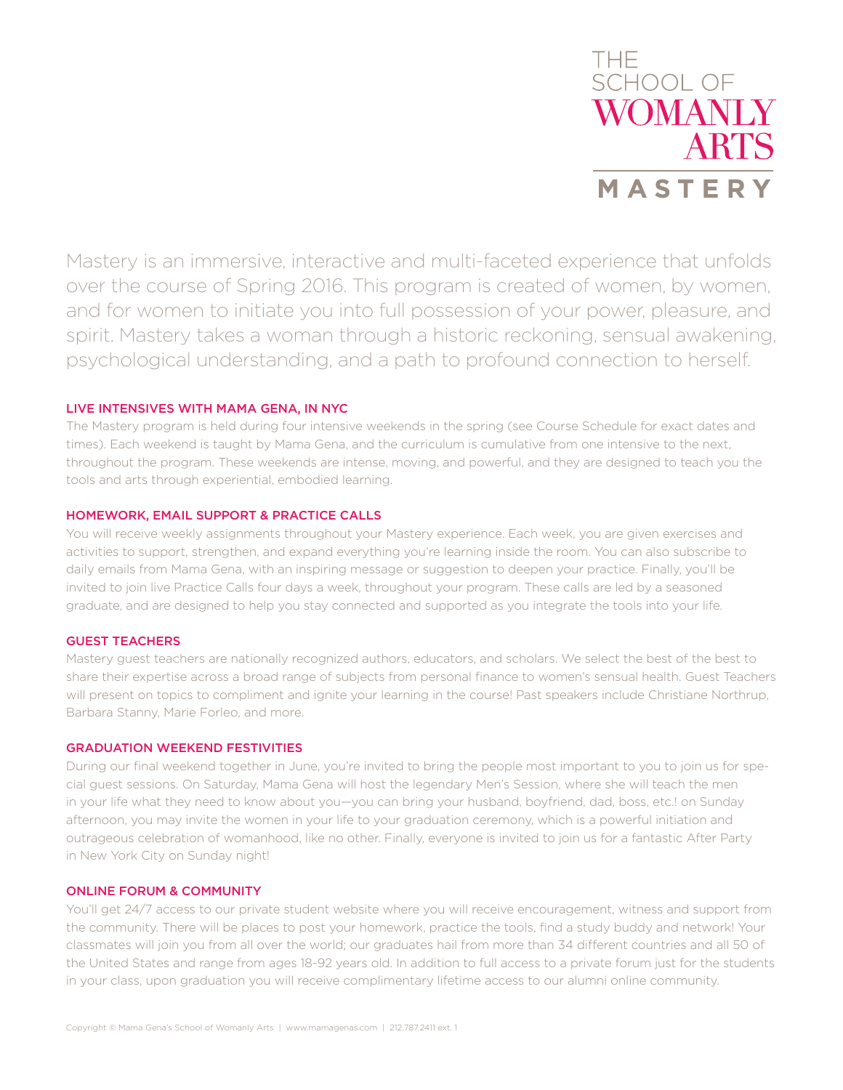

Mastery is an immersive, interactive and multi-faceted experience that unfolds over the course of Spring 2016. This program is created of women, by women, and for women to initiate you into full possession of your power, pleasure, and spirit. Mastery takes a woman through a historic reckoning, sensual awakening, psychological understanding, and a path to profound connection to herself.

# LIVE INTENSIVES WITH MAMA GENA, IN NYC

The Mastery program is held during four intensive weekends in the spring (see Course Schedule for exact dates and times). Each weekend is taught by Mama Gena, and the curriculum is cumulative from one intensive to the next, throughout the program. These weekends are intense, moving, and powerful, and they are designed to teach you the tools and arts through experiential, embodied learning.

#### HOMEWORK, EMAIL SUPPORT & PRACTICE CALLS

You will receive weekly assignments throughout your Mastery experience. Each week, you are given exercises and activities to support, strengthen, and expand everything you're learning inside the room. You can also subscribe to daily emails from Mama Gena, with an inspiring message or suggestion to deepen your practice. Finally, you'll be invited to join live Practice Calls four days a week, throughout your program. These calls are led by a seasoned graduate, and are designed to help you stay connected and supported as you integrate the tools into your life.

#### GUEST TEACHERS

Mastery guest teachers are nationally recognized authors, educators, and scholars. We select the best of the best to share their expertise across a broad range of subjects from personal finance to women's sensual health. Guest Teachers will present on topics to compliment and ignite your learning in the course! Past speakers include Christiane Northrup, Barbara Stanny, Marie Forleo, and more.

#### GRADUATION WEEKEND FESTIVITIES

During our final weekend together in June, you're invited to bring the people most important to you to join us for special guest sessions. On Saturday, Mama Gena will host the legendary Men's Session, where she will teach the men in your life what they need to know about you—you can bring your husband, boyfriend, dad, boss, etc.! on Sunday afternoon, you may invite the women in your life to your graduation ceremony, which is a powerful initiation and outrageous celebration of womanhood, like no other. Finally, everyone is invited to join us for a fantastic After Party in New York City on Sunday night!

#### ONLINE FORUM & COMMUNITY

You'll get 24/7 access to our private student website where you will receive encouragement, witness and support from the community. There will be places to post your homework, practice the tools, find a study buddy and network! Your classmates will join you from all over the world; our graduates hail from more than 34 different countries and all 50 of the United States and range from ages 18-92 years old. In addition to full access to a private forum just for the students in your class, upon graduation you will receive complimentary lifetime access to our alumni online community.